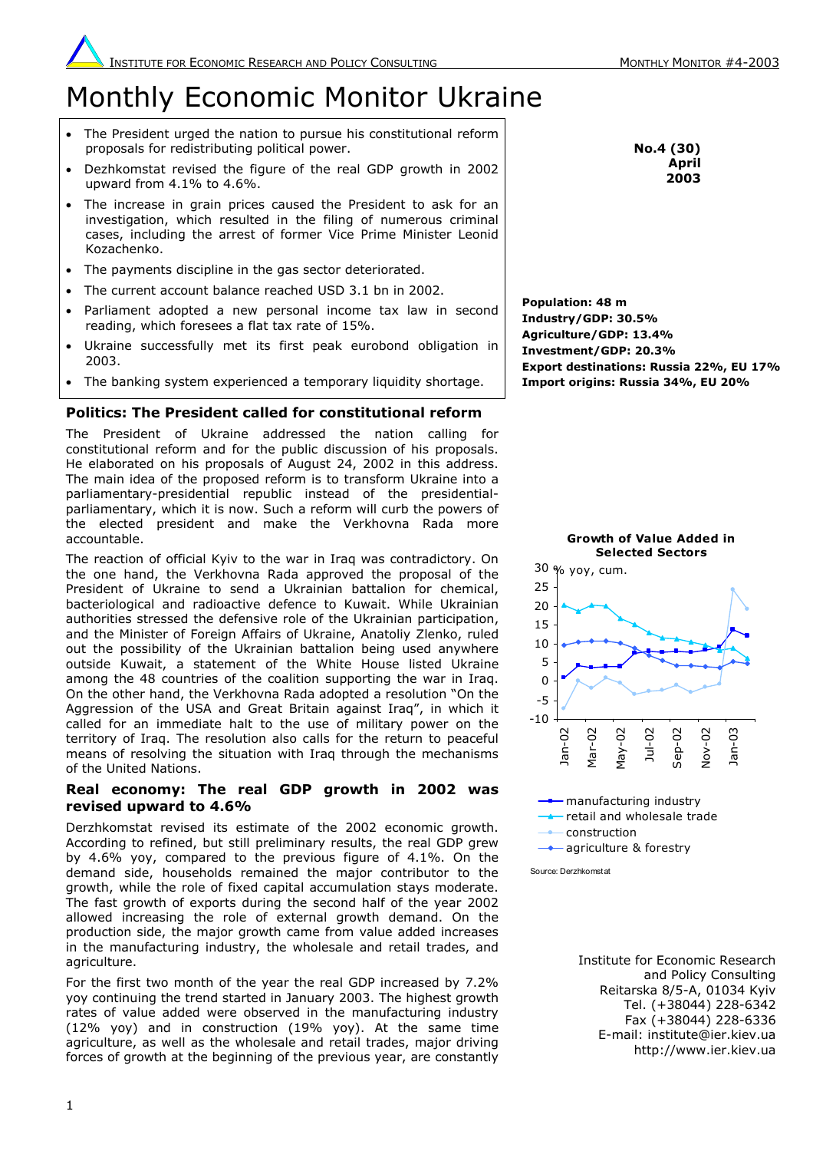# Monthly Economic Monitor Ukraine

- The President urged the nation to pursue his constitutional reform proposals for redistributing political power.
- Dezhkomstat revised the figure of the real GDP growth in 2002 upward from 4.1% to 4.6%.
- The increase in grain prices caused the President to ask for an investigation, which resulted in the filing of numerous criminal cases, including the arrest of former Vice Prime Minister Leonid Kozachenko.
- The payments discipline in the gas sector deteriorated.
- The current account balance reached USD 3.1 bn in 2002.
- Parliament adopted a new personal income tax law in second reading, which foresees a flat tax rate of 15%.
- Ukraine successfully met its first peak eurobond obligation in 2003.
- The banking system experienced a temporary liquidity shortage.

# **Politics: The President called for constitutional reform**

The President of Ukraine addressed the nation calling for constitutional reform and for the public discussion of his proposals. He elaborated on his proposals of August 24, 2002 in this address. The main idea of the proposed reform is to transform Ukraine into a parliamentary-presidential republic instead of the presidentialparliamentary, which it is now. Such a reform will curb the powers of the elected president and make the Verkhovna Rada more accountable.

The reaction of official Kyiv to the war in Iraq was contradictory. On the one hand, the Verkhovna Rada approved the proposal of the President of Ukraine to send a Ukrainian battalion for chemical, bacteriological and radioactive defence to Kuwait. While Ukrainian authorities stressed the defensive role of the Ukrainian participation, and the Minister of Foreign Affairs of Ukraine, Anatoliy Zlenko, ruled out the possibility of the Ukrainian battalion being used anywhere outside Kuwait, a statement of the White House listed Ukraine among the 48 countries of the coalition supporting the war in Iraq. On the other hand, the Verkhovna Rada adopted a resolution "On the Aggression of the USA and Great Britain against Iraq", in which it called for an immediate halt to the use of military power on the territory of Iraq. The resolution also calls for the return to peaceful means of resolving the situation with Iraq through the mechanisms of the United Nations.

## **Real economy: The real GDP growth in 2002 was revised upward to 4.6%**

Derzhkomstat revised its estimate of the 2002 economic growth. According to refined, but still preliminary results, the real GDP grew by 4.6% yoy, compared to the previous figure of 4.1%. On the demand side, households remained the major contributor to the growth, while the role of fixed capital accumulation stays moderate. The fast growth of exports during the second half of the year 2002 allowed increasing the role of external growth demand. On the production side, the major growth came from value added increases in the manufacturing industry, the wholesale and retail trades, and agriculture.

For the first two month of the year the real GDP increased by 7.2% yoy continuing the trend started in January 2003. The highest growth rates of value added were observed in the manufacturing industry (12% yoy) and in construction (19% yoy). At the same time agriculture, as well as the wholesale and retail trades, major driving forces of growth at the beginning of the previous year, are constantly

**No.4 (30) April 2003**

**Population: 48 m Industry/GDP: 30.5% Agriculture/GDP: 13.4% Investment/GDP: 20.3% Export destinations: Russia 22%, EU 17% Import origins: Russia 34%, EU 20%** 



**a** agriculture & forestry

Source: Derzhkomstat

Institute for Economic Research and Policy Consulting Reitarska 8/5-A, 01034 Kyiv Tel. (+38044) 228-6342 Fax (+38044) 228-6336 E-mail: institute@ier.kiev.ua http://www.ier.kiev.ua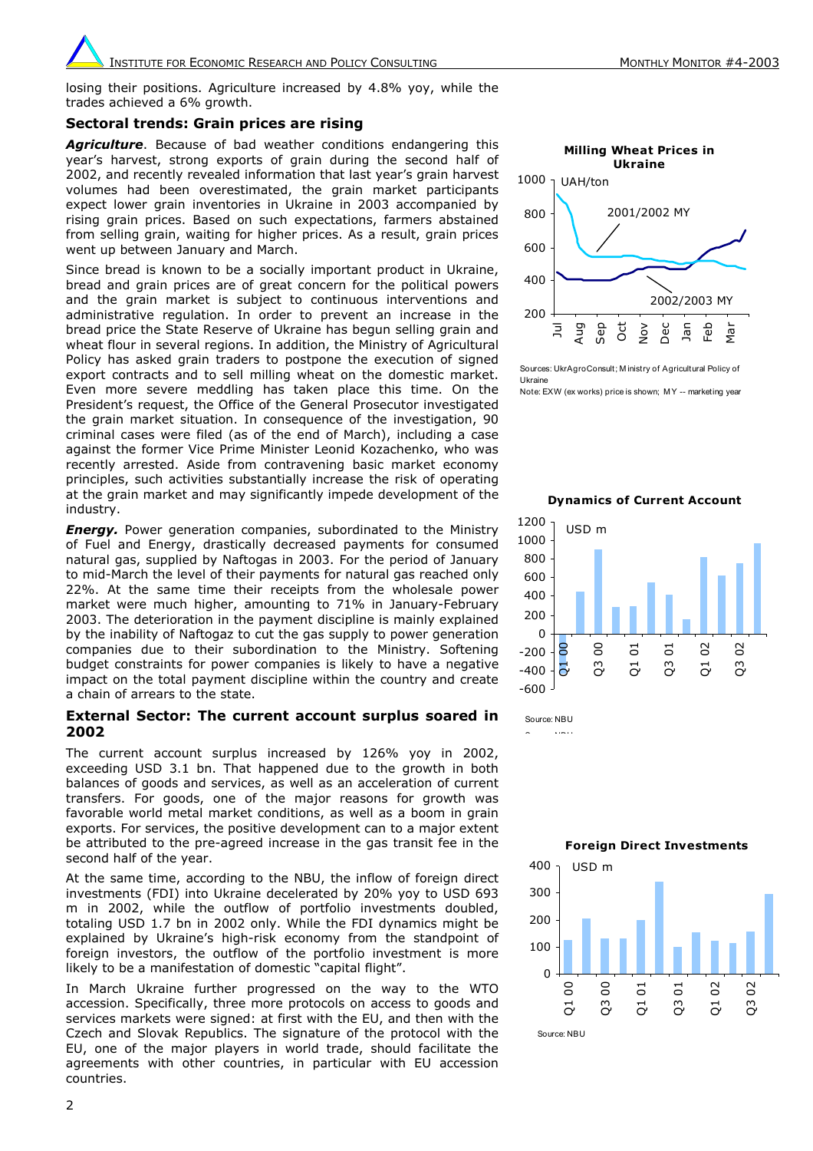INSTITUTE FOR ECONOMIC RESEARCH AND POLICY CONSULTING MONTHLY MONTHLY MONTHLY MONTOR #4-2003

losing their positions. Agriculture increased by 4.8% yoy, while the trades achieved a 6% growth.

#### **Sectoral trends: Grain prices are rising**

*Agriculture*. Because of bad weather conditions endangering this year's harvest, strong exports of grain during the second half of 2002, and recently revealed information that last year's grain harvest volumes had been overestimated, the grain market participants expect lower grain inventories in Ukraine in 2003 accompanied by rising grain prices. Based on such expectations, farmers abstained from selling grain, waiting for higher prices. As a result, grain prices went up between January and March.

Since bread is known to be a socially important product in Ukraine, bread and grain prices are of great concern for the political powers and the grain market is subject to continuous interventions and administrative regulation. In order to prevent an increase in the bread price the State Reserve of Ukraine has begun selling grain and wheat flour in several regions. In addition, the Ministry of Agricultural Policy has asked grain traders to postpone the execution of signed export contracts and to sell milling wheat on the domestic market. Even more severe meddling has taken place this time. On the President's request, the Office of the General Prosecutor investigated the grain market situation. In consequence of the investigation, 90 criminal cases were filed (as of the end of March), including a case against the former Vice Prime Minister Leonid Kozachenko, who was recently arrested. Aside from contravening basic market economy principles, such activities substantially increase the risk of operating at the grain market and may significantly impede development of the industry.

*Energy.* Power generation companies, subordinated to the Ministry of Fuel and Energy, drastically decreased payments for consumed natural gas, supplied by Naftogas in 2003. For the period of January to mid-March the level of their payments for natural gas reached only 22%. At the same time their receipts from the wholesale power market were much higher, amounting to 71% in January-February 2003. The deterioration in the payment discipline is mainly explained by the inability of Naftogaz to cut the gas supply to power generation companies due to their subordination to the Ministry. Softening budget constraints for power companies is likely to have a negative impact on the total payment discipline within the country and create a chain of arrears to the state.

### **External Sector: The current account surplus soared in 2002**

The current account surplus increased by 126% yoy in 2002, exceeding USD 3.1 bn. That happened due to the growth in both balances of goods and services, as well as an acceleration of current transfers. For goods, one of the major reasons for growth was favorable world metal market conditions, as well as a boom in grain exports. For services, the positive development can to a major extent be attributed to the pre-agreed increase in the gas transit fee in the second half of the year.

At the same time, according to the NBU, the inflow of foreign direct investments (FDI) into Ukraine decelerated by 20% yoy to USD 693 m in 2002, while the outflow of portfolio investments doubled, totaling USD 1.7 bn in 2002 only. While the FDI dynamics might be explained by Ukraine's high-risk economy from the standpoint of foreign investors, the outflow of the portfolio investment is more likely to be a manifestation of domestic "capital flight".

In March Ukraine further progressed on the way to the WTO accession. Specifically, three more protocols on access to goods and services markets were signed: at first with the EU, and then with the Czech and Slovak Republics. The signature of the protocol with the EU, one of the major players in world trade, should facilitate the agreements with other countries, in particular with EU accession countries.



Sources: UkrAgroConsult; M inistry of Agricultural Policy of Ukraine

Note: EXW (ex works) price is shown; M Y -- marketing year

#### **Dynamics of Current Account**



S NBU

Source: NBU

**Foreign Direct Investments**

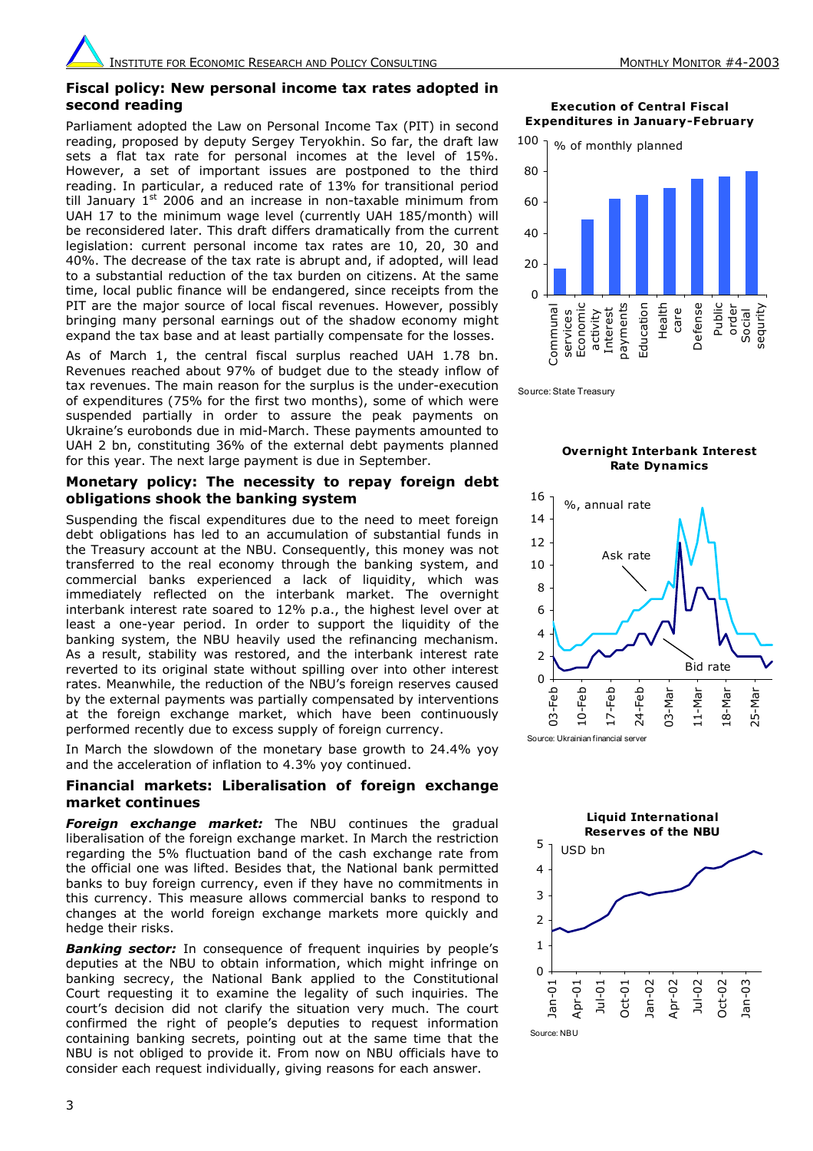## **Fiscal policy: New personal income tax rates adopted in second reading**

Parliament adopted the Law on Personal Income Tax (PIT) in second reading, proposed by deputy Sergey Teryokhin. So far, the draft law sets a flat tax rate for personal incomes at the level of 15%. However, a set of important issues are postponed to the third reading. In particular, a reduced rate of 13% for transitional period till January  $1<sup>st</sup>$  2006 and an increase in non-taxable minimum from UAH 17 to the minimum wage level (currently UAH 185/month) will be reconsidered later. This draft differs dramatically from the current legislation: current personal income tax rates are 10, 20, 30 and 40%. The decrease of the tax rate is abrupt and, if adopted, will lead to a substantial reduction of the tax burden on citizens. At the same time, local public finance will be endangered, since receipts from the PIT are the major source of local fiscal revenues. However, possibly bringing many personal earnings out of the shadow economy might expand the tax base and at least partially compensate for the losses.

As of March 1, the central fiscal surplus reached UAH 1.78 bn. Revenues reached about 97% of budget due to the steady inflow of tax revenues. The main reason for the surplus is the under-execution of expenditures (75% for the first two months), some of which were suspended partially in order to assure the peak payments on Ukraine's eurobonds due in mid-March. These payments amounted to UAH 2 bn, constituting 36% of the external debt payments planned for this year. The next large payment is due in September.

## **Monetary policy: The necessity to repay foreign debt obligations shook the banking system**

Suspending the fiscal expenditures due to the need to meet foreign debt obligations has led to an accumulation of substantial funds in the Treasury account at the NBU. Consequently, this money was not transferred to the real economy through the banking system, and commercial banks experienced a lack of liquidity, which was immediately reflected on the interbank market. The overnight interbank interest rate soared to 12% p.a., the highest level over at least a one-year period. In order to support the liquidity of the banking system, the NBU heavily used the refinancing mechanism. As a result, stability was restored, and the interbank interest rate reverted to its original state without spilling over into other interest rates. Meanwhile, the reduction of the NBU's foreign reserves caused by the external payments was partially compensated by interventions at the foreign exchange market, which have been continuously performed recently due to excess supply of foreign currency.

In March the slowdown of the monetary base growth to 24.4% yoy and the acceleration of inflation to 4.3% yoy continued.

## **Financial markets: Liberalisation of foreign exchange market continues**

**Foreign exchange market:** The NBU continues the gradual liberalisation of the foreign exchange market. In March the restriction regarding the 5% fluctuation band of the cash exchange rate from the official one was lifted. Besides that, the National bank permitted banks to buy foreign currency, even if they have no commitments in this currency. This measure allows commercial banks to respond to changes at the world foreign exchange markets more quickly and hedge their risks.

**Banking sector:** In consequence of frequent inquiries by people's deputies at the NBU to obtain information, which might infringe on banking secrecy, the National Bank applied to the Constitutional Court requesting it to examine the legality of such inquiries. The court's decision did not clarify the situation very much. The court confirmed the right of people's deputies to request information containing banking secrets, pointing out at the same time that the NBU is not obliged to provide it. From now on NBU officials have to consider each request individually, giving reasons for each answer.

**Execution of Central Fiscal Expenditures in January-February** 



Source: State Treasury

#### **Overnight Interbank Interest Rate Dynamics**